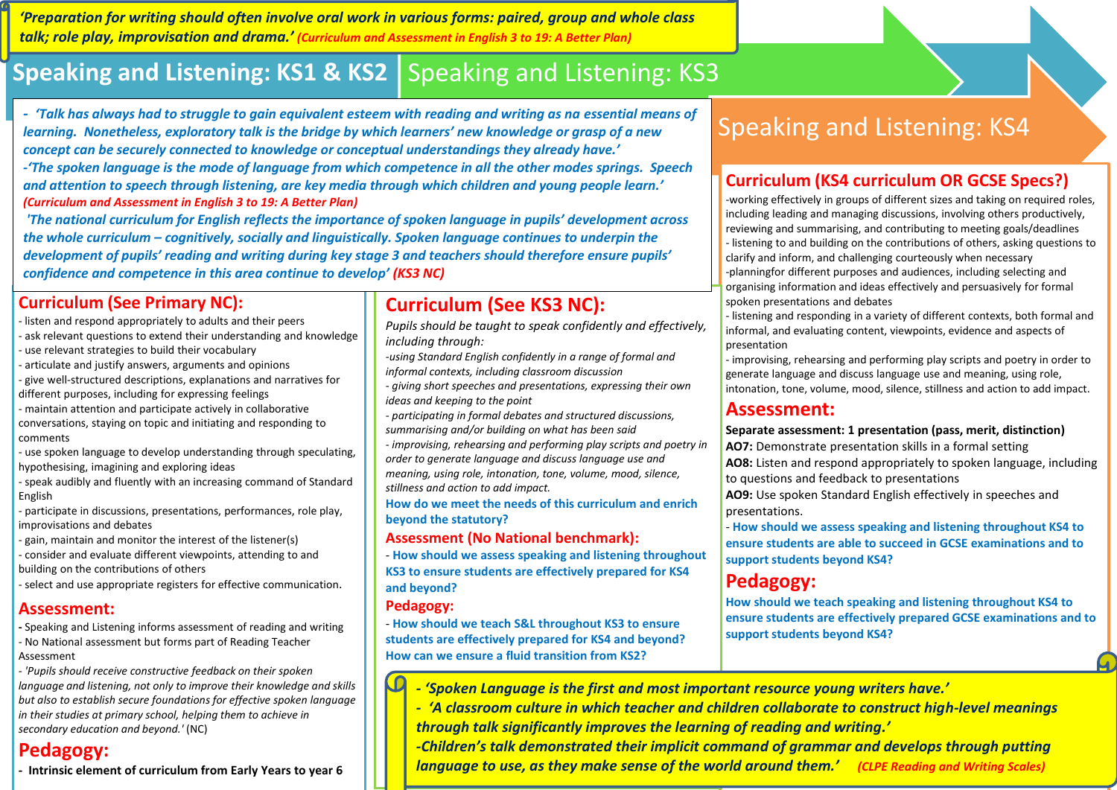*'Preparation for writing should often involve oral work in various forms: paired, group and whole class talk; role play, improvisation and drama.' (Curriculum and Assessment in English 3 to 19: A Better Plan)*

# **Speaking and Listening: KS1 & KS2** Speaking and Listening: KS3

*- 'Talk has always had to struggle to gain equivalent esteem with reading and writing as na essential means of learning. Nonetheless, exploratory talk is the bridge by which learners' new knowledge or grasp of a new concept can be securely connected to knowledge or conceptual understandings they already have.' -'The spoken language is the mode of language from which competence in all the other modes springs. Speech and attention to speech through listening, are key media through which children and young people learn.' (Curriculum and Assessment in English 3 to 19: A Better Plan)*

*'The national curriculum for English reflects the importance of spoken language in pupils' development across the whole curriculum – cognitively, socially and linguistically. Spoken language continues to underpin the development of pupils' reading and writing during key stage 3 and teachers should therefore ensure pupils' confidence and competence in this area continue to develop' (KS3 NC)*

#### **Curriculum (See Primary NC):**

- listen and respond appropriately to adults and their peers
- ask relevant questions to extend their understanding and knowledge
- use relevant strategies to build their vocabulary
- articulate and justify answers, arguments and opinions
- give well-structured descriptions, explanations and narratives for different purposes, including for expressing feelings
- maintain attention and participate actively in collaborative conversations, staying on topic and initiating and responding to comments
- use spoken language to develop understanding through speculating, hypothesising, imagining and exploring ideas
- speak audibly and fluently with an increasing command of Standard English
- participate in discussions, presentations, performances, role play, improvisations and debates
- gain, maintain and monitor the interest of the listener(s)
- consider and evaluate different viewpoints, attending to and building on the contributions of others
- select and use appropriate registers for effective communication.

#### **Assessment:**

- **-** Speaking and Listening informs assessment of reading and writing - No National assessment but forms part of Reading Teacher Assessment
- *- 'Pupils should receive constructive feedback on their spoken language and listening, not only to improve their knowledge and skills but also to establish secure foundations for effective spoken language in their studies at primary school, helping them to achieve in secondary education and beyond.'* (NC)

## **Pedagogy:**

**- Intrinsic element of curriculum from Early Years to year 6**

## **Curriculum (See KS3 NC):**

- *Pupils should be taught to speak confidently and effectively, including through:*
- *-using Standard English confidently in a range of formal and informal contexts, including classroom discussion*
- *- giving short speeches and presentations, expressing their own ideas and keeping to the point*
- *- participating in formal debates and structured discussions, summarising and/or building on what has been said*
- *- improvising, rehearsing and performing play scripts and poetry in order to generate language and discuss language use and meaning, using role, intonation, tone, volume, mood, silence, stillness and action to add impact.*
- **How do we meet the needs of this curriculum and enrich beyond the statutory?**

#### **Assessment (No National benchmark):**

- **How should we assess speaking and listening throughout KS3 to ensure students are effectively prepared for KS4 and beyond?**

#### **Pedagogy:**

- **How should we teach S&L throughout KS3 to ensure students are effectively prepared for KS4 and beyond? How can we ensure a fluid transition from KS2?**

# Speaking and Listening: KS4

#### **Curriculum (KS4 curriculum OR GCSE Specs?)**

-working effectively in groups of different sizes and taking on required roles, including leading and managing discussions, involving others productively, reviewing and summarising, and contributing to meeting goals/deadlines - listening to and building on the contributions of others, asking questions to clarify and inform, and challenging courteously when necessary -planningfor different purposes and audiences, including selecting and organising information and ideas effectively and persuasively for formal spoken presentations and debates

- listening and responding in a variety of different contexts, both formal and informal, and evaluating content, viewpoints, evidence and aspects of presentation

- improvising, rehearsing and performing play scripts and poetry in order to generate language and discuss language use and meaning, using role, intonation, tone, volume, mood, silence, stillness and action to add impact.

#### **Assessment:**

#### **Separate assessment: 1 presentation (pass, merit, distinction)**

**AO7:** Demonstrate presentation skills in a formal setting

**AO8:** Listen and respond appropriately to spoken language, including to questions and feedback to presentations

**AO9:** Use spoken Standard English effectively in speeches and presentations.

- **How should we assess speaking and listening throughout KS4 to ensure students are able to succeed in GCSE examinations and to support students beyond KS4?**

#### **Pedagogy:**

**How should we teach speaking and listening throughout KS4 to ensure students are effectively prepared GCSE examinations and to support students beyond KS4?**

 $\Gamma$ *- 'Spoken Language is the first and most important resource young writers have.'*

*- 'A classroom culture in which teacher and children collaborate to construct high-level meanings through talk significantly improves the learning of reading and writing.'* 

*-Children's talk demonstrated their implicit command of grammar and develops through putting language to use, as they make sense of the world around them.' (CLPE Reading and Writing Scales)*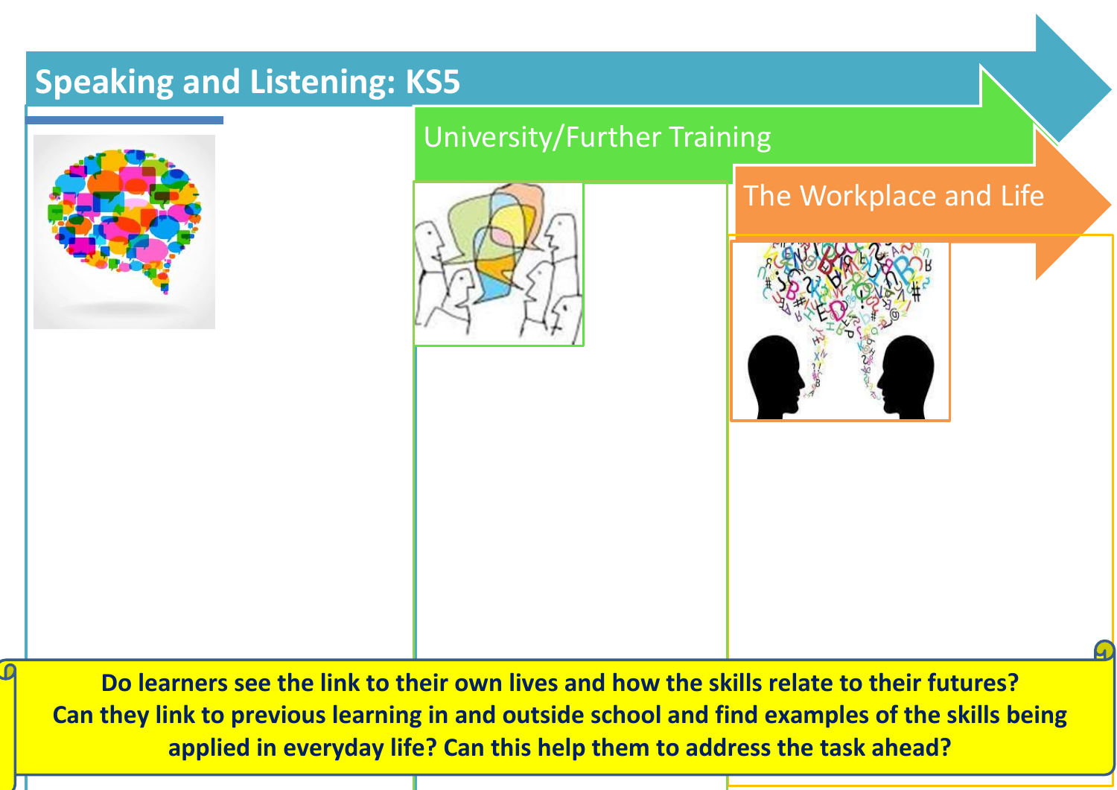# **Speaking and Listening: KS5**



University/Further Training



# The Workplace and Life



**Do learners see the link to their own lives and how the skills relate to their futures? Can they link to previous learning in and outside school and find examples of the skills being applied in everyday life? Can this help them to address the task ahead?**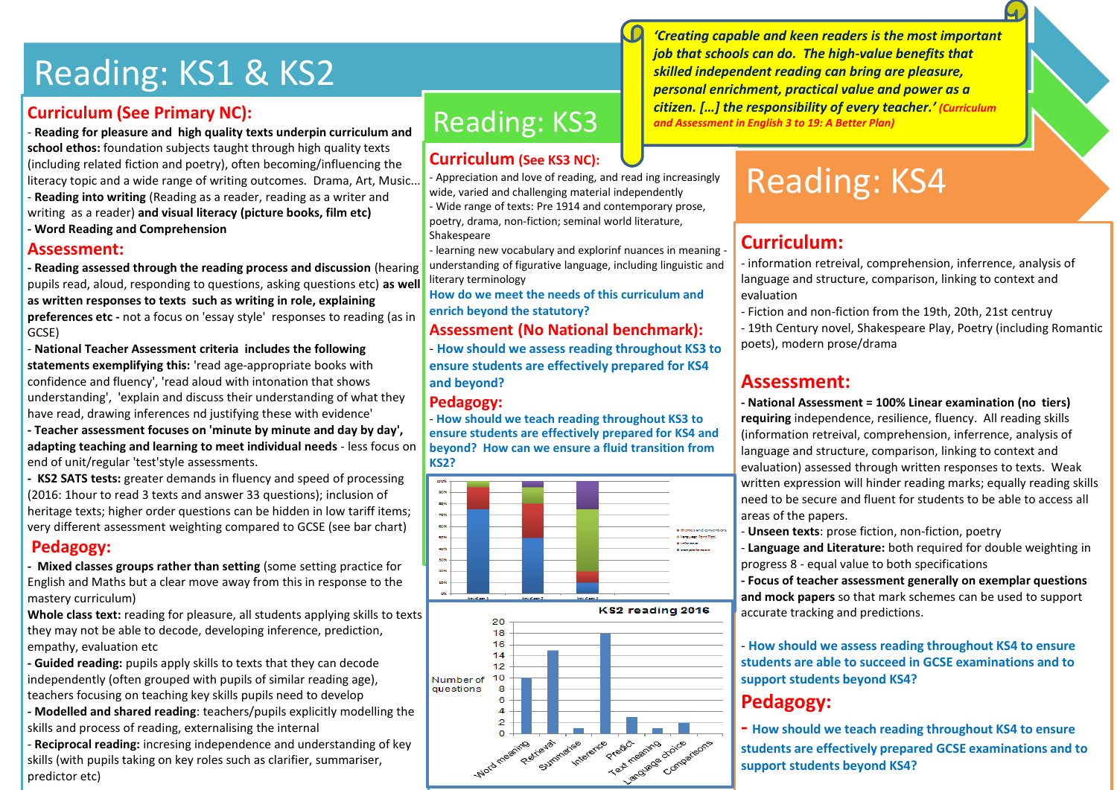# Reading: KS1 & KS2

#### **Curriculum (See Primary NC):**

- **Reading for pleasure and high quality texts underpin curriculum and school ethos:** foundation subjects taught through high quality texts (including related fiction and poetry), often becoming/influencing the literacy topic and a wide range of writing outcomes. Drama, Art, Music... - **Reading into writing** (Reading as a reader, reading as a writer and writing as a reader) **and visual literacy (picture books, film etc)**

**- Word Reading and Comprehension**

#### **Assessment:**

**- Reading assessed through the reading process and discussion** (hearing pupils read, aloud, responding to questions, asking questions etc) **as well as written responses to texts such as writing in role, explaining preferences etc -** not a focus on 'essay style' responses to reading (as in GCSE)

- **National Teacher Assessment criteria includes the following statements exemplifying this:** 'read age-appropriate books with confidence and fluency', 'read aloud with intonation that shows understanding', 'explain and discuss their understanding of what they have read, drawing inferences nd justifying these with evidence'

**- Teacher assessment focuses on 'minute by minute and day by day', adapting teaching and learning to meet individual needs** - less focus on end of unit/regular 'test'style assessments.

**- KS2 SATS tests:** greater demands in fluency and speed of processing (2016: 1hour to read 3 texts and answer 33 questions); inclusion of heritage texts; higher order questions can be hidden in low tariff items; very different assessment weighting compared to GCSE (see bar chart)

#### **Pedagogy:**

**- Mixed classes groups rather than setting** (some setting practice for English and Maths but a clear move away from this in response to the mastery curriculum)

**Whole class text:** reading for pleasure, all students applying skills to texts they may not be able to decode, developing inference, prediction, empathy, evaluation etc

**- Guided reading:** pupils apply skills to texts that they can decode independently (often grouped with pupils of similar reading age), teachers focusing on teaching key skills pupils need to develop

**- Modelled and shared reading**: teachers/pupils explicitly modelling the skills and process of reading, externalising the internal

- **Reciprocal reading:** incresing independence and understanding of key skills (with pupils taking on key roles such as clarifier, summariser, predictor etc)

# Reading: KS3

#### **Curriculum (See KS3 NC):**

- Appreciation and love of reading, and read ing increasingly wide, varied and challenging material independently - Wide range of texts: Pre 1914 and contemporary prose, poetry, drama, non-fiction; seminal world literature, Shakespeare

- learning new vocabulary and explorinf nuances in meaning understanding of figurative language, including linguistic and literary terminology

**How do we meet the needs of this curriculum and enrich beyond the statutory?**

#### **Assessment (No National benchmark):**

- **How should we assess reading throughout KS3 to ensure students are effectively prepared for KS4 and beyond?**

#### **Pedagogy:**

- **How should we teach reading throughout KS3 to ensure students are effectively prepared for KS4 and beyond? How can we ensure a fluid transition from KS2?**



*'Creating capable and keen readers is the most important job that schools can do. The high-value benefits that skilled independent reading can bring are pleasure, personal enrichment, practical value and power as a citizen. […] the responsibility of every teacher.' (Curriculum and Assessment in English 3 to 19: A Better Plan)*

# Reading: KS4

### **Curriculum:**

- information retreival, comprehension, inferrence, analysis of language and structure, comparison, linking to context and evaluation

- Fiction and non-fiction from the 19th, 20th, 21st centruy - 19th Century novel, Shakespeare Play, Poetry (including Romantic poets), modern prose/drama

#### **Assessment:**

**- National Assessment = 100% Linear examination (no tiers) requiring** independence, resilience, fluency. All reading skills (information retreival, comprehension, inferrence, analysis of language and structure, comparison, linking to context and evaluation) assessed through written responses to texts. Weak written expression will hinder reading marks; equally reading skills need to be secure and fluent for students to be able to access all areas of the papers.

- **Unseen texts**: prose fiction, non-fiction, poetry

- **Language and Literature:** both required for double weighting in progress 8 - equal value to both specifications

**- Focus of teacher assessment generally on exemplar questions and mock papers** so that mark schemes can be used to support accurate tracking and predictions.

- **How should we assess reading throughout KS4 to ensure students are able to succeed in GCSE examinations and to support students beyond KS4?**

## **Pedagogy:**

**- How should we teach reading throughout KS4 to ensure students are effectively prepared GCSE examinations and to support students beyond KS4?**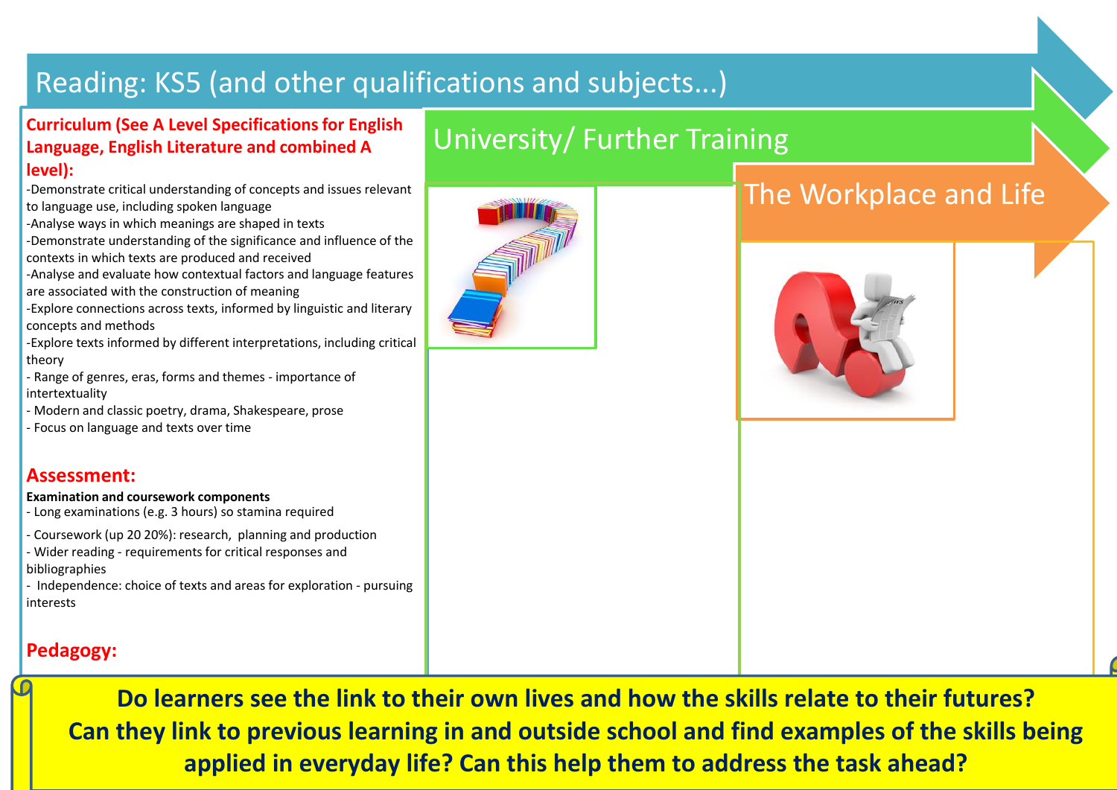# Reading: KS5 (and other qualifications and subjects...)

### **Curriculum (See A Level Specifications for English Language, English Literature and combined A level):**

-Demonstrate critical understanding of concepts and issues relevant to language use, including spoken language

- -Analyse ways in which meanings are shaped in texts
- -Demonstrate understanding of the significance and influence of the contexts in which texts are produced and received

-Analyse and evaluate how contextual factors and language features are associated with the construction of meaning

-Explore connections across texts, informed by linguistic and literary concepts and methods

-Explore texts informed by different interpretations, including critical theory

- Range of genres, eras, forms and themes importance of intertextuality
- Modern and classic poetry, drama, Shakespeare, prose
- Focus on language and texts over time

### **Assessment:**

#### **Examination and coursework components**

- Long examinations (e.g. 3 hours) so stamina required
- Coursework (up 20 20%): research, planning and production
- Wider reading requirements for critical responses and bibliographies

- Independence: choice of texts and areas for exploration - pursuing interests

## **Pedagogy:**

**Do learners see the link to their own lives and how the skills relate to their futures? Can they link to previous learning in and outside school and find examples of the skills being applied in everyday life? Can this help them to address the task ahead?**



University/ Further Training

# The Workplace and Life

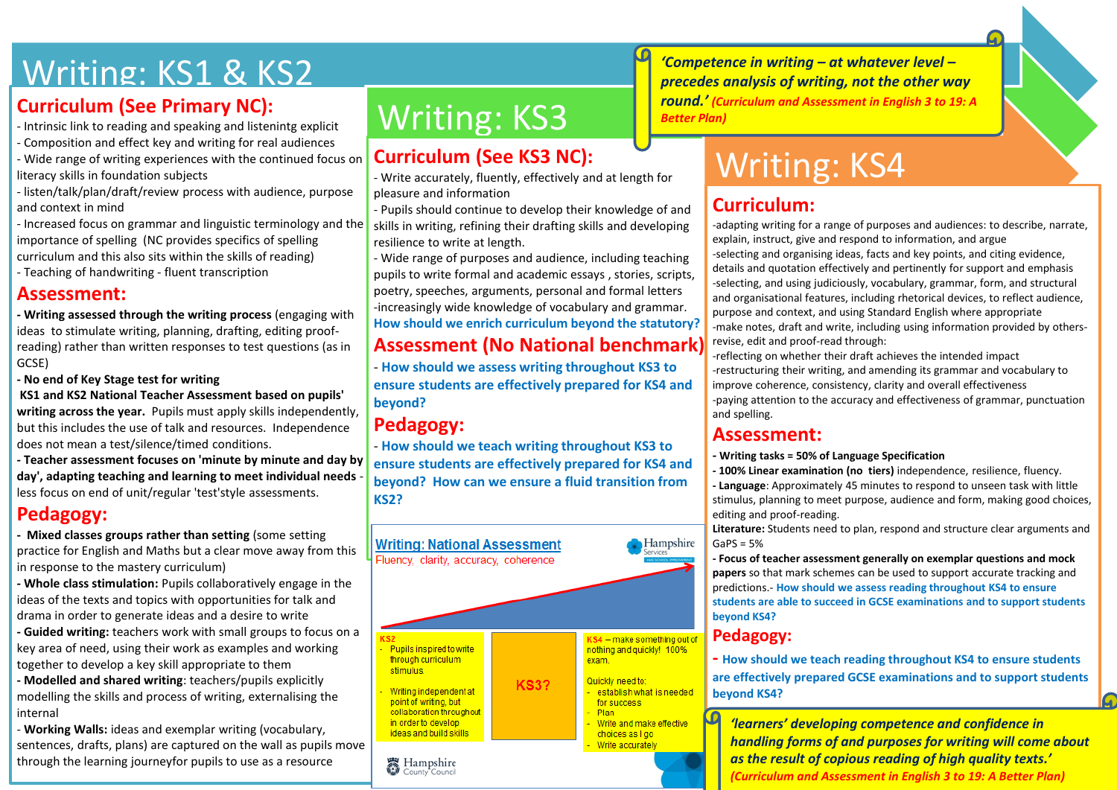# Writing: KS1 & KS2

## **Curriculum (See Primary NC):**

- Intrinsic link to reading and speaking and listenintg explicit
- Composition and effect key and writing for real audiences
- Wide range of writing experiences with the continued focus on literacy skills in foundation subjects
- listen/talk/plan/draft/review process with audience, purpose and context in mind
- Increased focus on grammar and linguistic terminology and the importance of spelling (NC provides specifics of spelling curriculum and this also sits within the skills of reading)
- Teaching of handwriting fluent transcription

### **Assessment:**

**- Writing assessed through the writing process** (engaging with ideas to stimulate writing, planning, drafting, editing proofreading) rather than written responses to test questions (as in GCSE)

**- No end of Key Stage test for writing**

**KS1 and KS2 National Teacher Assessment based on pupils' writing across the year.** Pupils must apply skills independently, but this includes the use of talk and resources. Independence does not mean a test/silence/timed conditions.

**- Teacher assessment focuses on 'minute by minute and day by day', adapting teaching and learning to meet individual needs** less focus on end of unit/regular 'test'style assessments.

## **Pedagogy:**

**- Mixed classes groups rather than setting** (some setting practice for English and Maths but a clear move away from this in response to the mastery curriculum)

**- Whole class stimulation:** Pupils collaboratively engage in the ideas of the texts and topics with opportunities for talk and drama in order to generate ideas and a desire to write

**- Guided writing:** teachers work with small groups to focus on a key area of need, using their work as examples and working together to develop a key skill appropriate to them

**- Modelled and shared writing**: teachers/pupils explicitly modelling the skills and process of writing, externalising the internal

- **Working Walls:** ideas and exemplar writing (vocabulary, sentences, drafts, plans) are captured on the wall as pupils move through the learning journeyfor pupils to use as a resource

# Writing: KS3

## **Curriculum (See KS3 NC):**

- Write accurately, fluently, effectively and at length for pleasure and information

- Pupils should continue to develop their knowledge of and skills in writing, refining their drafting skills and developing resilience to write at length.

- Wide range of purposes and audience, including teaching pupils to write formal and academic essays , stories, scripts, poetry, speeches, arguments, personal and formal letters -increasingly wide knowledge of vocabulary and grammar. **How should we enrich curriculum beyond the statutory?**

## **Assessment (No National benchmark):**

- **How should we assess writing throughout KS3 to ensure students are effectively prepared for KS4 and beyond?**

## **Pedagogy:**

- **How should we teach writing throughout KS3 to ensure students are effectively prepared for KS4 and beyond? How can we ensure a fluid transition from KS2?**



*'Competence in writing – at whatever level – precedes analysis of writing, not the other way round.' (Curriculum and Assessment in English 3 to 19: A Better Plan)*

# Writing: KS4

## **Curriculum:**

-adapting writing for a range of purposes and audiences: to describe, narrate, explain, instruct, give and respond to information, and argue -selecting and organising ideas, facts and key points, and citing evidence, details and quotation effectively and pertinently for support and emphasis -selecting, and using judiciously, vocabulary, grammar, form, and structural and organisational features, including rhetorical devices, to reflect audience, purpose and context, and using Standard English where appropriate -make notes, draft and write, including using information provided by othersrevise, edit and proof-read through:

-reflecting on whether their draft achieves the intended impact -restructuring their writing, and amending its grammar and vocabulary to improve coherence, consistency, clarity and overall effectiveness -paying attention to the accuracy and effectiveness of grammar, punctuation and spelling.

#### **Assessment:**

- **- Writing tasks = 50% of Language Specification**
- **- 100% Linear examination (no tiers)** independence, resilience, fluency.

**- Language**: Approximately 45 minutes to respond to unseen task with little stimulus, planning to meet purpose, audience and form, making good choices, editing and proof-reading.

**Literature:** Students need to plan, respond and structure clear arguments and  $GaPS = 5%$ 

**- Focus of teacher assessment generally on exemplar questions and mock papers** so that mark schemes can be used to support accurate tracking and predictions.- **How should we assess reading throughout KS4 to ensure students are able to succeed in GCSE examinations and to support students beyond KS4?**

#### **Pedagogy:**

**- How should we teach reading throughout KS4 to ensure students are effectively prepared GCSE examinations and to support students beyond KS4?**

*'learners' developing competence and confidence in handling forms of and purposes for writing will come about as the result of copious reading of high quality texts.' (Curriculum and Assessment in English 3 to 19: A Better Plan)*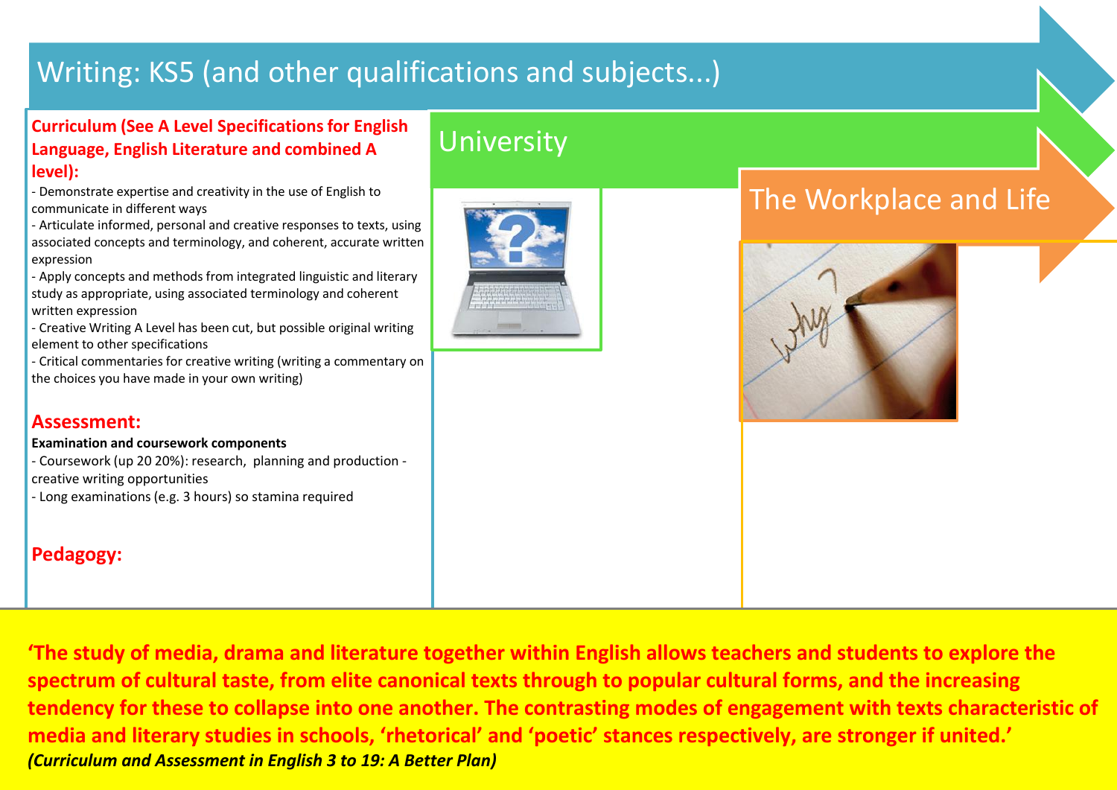# Writing: KS5 (and other qualifications and subjects...)

#### **Curriculum (See A Level Specifications for English Language, English Literature and combined A level):**

- Demonstrate expertise and creativity in the use of English to communicate in different ways

- Articulate informed, personal and creative responses to texts, using associated concepts and terminology, and coherent, accurate written expression

- Apply concepts and methods from integrated linguistic and literary study as appropriate, using associated terminology and coherent written expression

- Creative Writing A Level has been cut, but possible original writing element to other specifications

- Critical commentaries for creative writing (writing a commentary on the choices you have made in your own writing)

#### **Assessment:**

**Examination and coursework components**

- Coursework (up 20 20%): research, planning and production creative writing opportunities - Long examinations (e.g. 3 hours) so stamina required

## **Pedagogy:**

# **University**



# The Workplace and Life



**'The study of media, drama and literature together within English allows teachers and students to explore the spectrum of cultural taste, from elite canonical texts through to popular cultural forms, and the increasing tendency for these to collapse into one another. The contrasting modes of engagement with texts characteristic of media and literary studies in schools, 'rhetorical' and 'poetic' stances respectively, are stronger if united.'** *(Curriculum and Assessment in English 3 to 19: A Better Plan)*